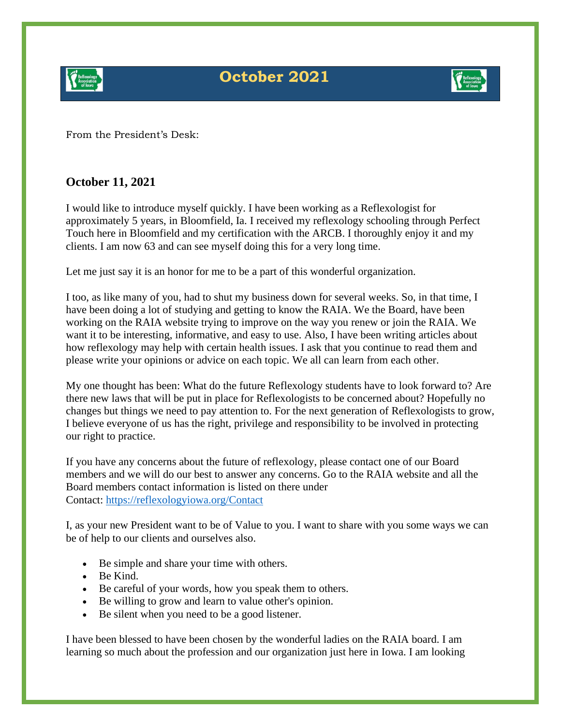

## **October 2021**



From the President's Desk:

## **October 11, 2021**

I would like to introduce myself quickly. I have been working as a Reflexologist for approximately 5 years, in Bloomfield, Ia. I received my reflexology schooling through Perfect Touch here in Bloomfield and my certification with the ARCB. I thoroughly enjoy it and my clients. I am now 63 and can see myself doing this for a very long time.

Let me just say it is an honor for me to be a part of this wonderful organization.

I too, as like many of you, had to shut my business down for several weeks. So, in that time, I have been doing a lot of studying and getting to know the RAIA. We the Board, have been working on the RAIA website trying to improve on the way you renew or join the RAIA. We want it to be interesting, informative, and easy to use. Also, I have been writing articles about how reflexology may help with certain health issues. I ask that you continue to read them and please write your opinions or advice on each topic. We all can learn from each other.

My one thought has been: What do the future Reflexology students have to look forward to? Are there new laws that will be put in place for Reflexologists to be concerned about? Hopefully no changes but things we need to pay attention to. For the next generation of Reflexologists to grow, I believe everyone of us has the right, privilege and responsibility to be involved in protecting our right to practice.

If you have any concerns about the future of reflexology, please contact one of our Board members and we will do our best to answer any concerns. Go to the RAIA website and all the Board members contact information is listed on there under Contact: [https://reflexologyiowa.org/Contact](https://www.reflexologyiowa.org/Contact)

I, as your new President want to be of Value to you. I want to share with you some ways we can be of help to our clients and ourselves also.

- Be simple and share your time with others.
- Be Kind.
- Be careful of your words, how you speak them to others.
- Be willing to grow and learn to value other's opinion.
- Be silent when you need to be a good listener.

I have been blessed to have been chosen by the wonderful ladies on the RAIA board. I am learning so much about the profession and our organization just here in Iowa. I am looking